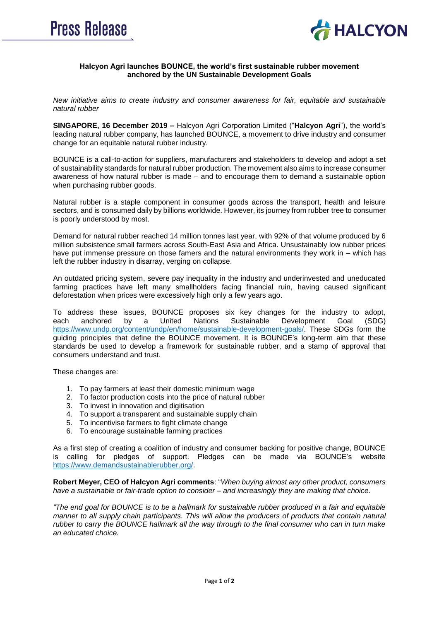



## **Halcyon Agri launches BOUNCE, the world's first sustainable rubber movement anchored by the UN Sustainable Development Goals**

*New initiative aims to create industry and consumer awareness for fair, equitable and sustainable natural rubber*

**SINGAPORE, 16 December 2019 –** Halcyon Agri Corporation Limited ("**Halcyon Agri**"), the world's leading natural rubber company, has launched BOUNCE, a movement to drive industry and consumer change for an equitable natural rubber industry.

BOUNCE is a call-to-action for suppliers, manufacturers and stakeholders to develop and adopt a set of sustainability standards for natural rubber production. The movement also aims to increase consumer awareness of how natural rubber is made – and to encourage them to demand a sustainable option when purchasing rubber goods.

Natural rubber is a staple component in consumer goods across the transport, health and leisure sectors, and is consumed daily by billions worldwide. However, its journey from rubber tree to consumer is poorly understood by most.

Demand for natural rubber reached 14 million tonnes last year, with 92% of that volume produced by 6 million subsistence small farmers across South-East Asia and Africa. Unsustainably low rubber prices have put immense pressure on those famers and the natural environments they work in – which has left the rubber industry in disarray, verging on collapse.

An outdated pricing system, severe pay inequality in the industry and underinvested and uneducated farming practices have left many smallholders facing financial ruin, having caused significant deforestation when prices were excessively high only a few years ago.

To address these issues, BOUNCE proposes six key changes for the industry to adopt, each anchored by a United Nations Sustainable Development Goal (SDG) [https://www.undp.org/content/undp/en/home/sustainable-development-goals/.](https://www.undp.org/content/undp/en/home/sustainable-development-goals/) These SDGs form the guiding principles that define the BOUNCE movement. It is BOUNCE's long-term aim that these standards be used to develop a framework for sustainable rubber, and a stamp of approval that consumers understand and trust.

These changes are:

- 1. To pay farmers at least their domestic minimum wage
- 2. To factor production costs into the price of natural rubber
- 3. To invest in innovation and digitisation
- 4. To support a transparent and sustainable supply chain
- 5. To incentivise farmers to fight climate change
- 6. To encourage sustainable farming practices

As a first step of creating a coalition of industry and consumer backing for positive change, BOUNCE is calling for pledges of support. Pledges can be made via BOUNCE's website [https://www.demandsustainablerubber.org/.](https://www.demandsustainablerubber.org/)

**Robert Meyer, CEO of Halcyon Agri comments**: "*When buying almost any other product, consumers have a sustainable or fair-trade option to consider – and increasingly they are making that choice.*

*"The end goal for BOUNCE is to be a hallmark for sustainable rubber produced in a fair and equitable manner to all supply chain participants. This will allow the producers of products that contain natural rubber to carry the BOUNCE hallmark all the way through to the final consumer who can in turn make an educated choice.*